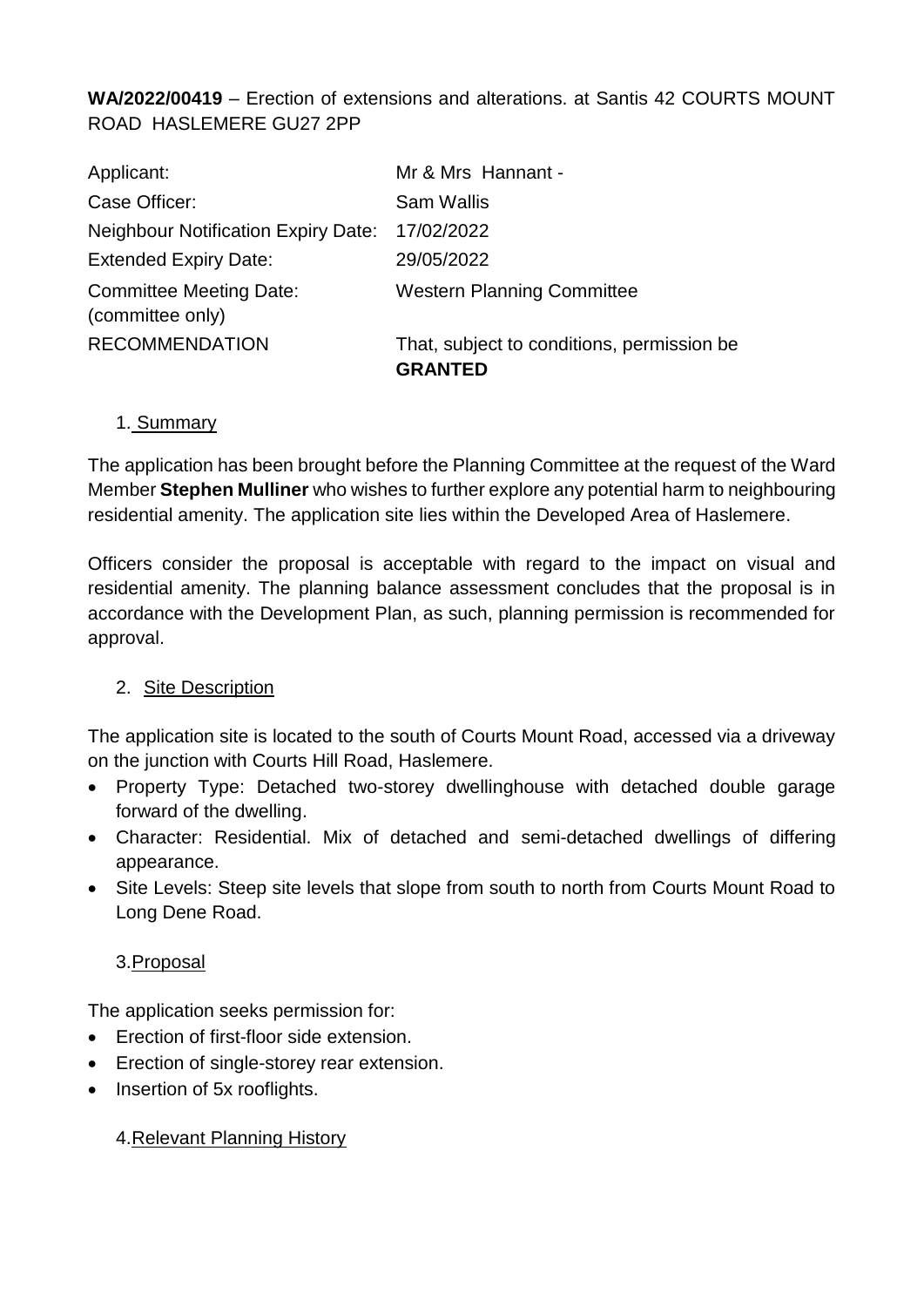**WA/2022/00419** – Erection of extensions and alterations. at Santis 42 COURTS MOUNT ROAD HASLEMERE GU27 2PP

| Applicant:                                         | Mr & Mrs Hannant -                                           |
|----------------------------------------------------|--------------------------------------------------------------|
| Case Officer:                                      | <b>Sam Wallis</b>                                            |
| <b>Neighbour Notification Expiry Date:</b>         | 17/02/2022                                                   |
| <b>Extended Expiry Date:</b>                       | 29/05/2022                                                   |
| <b>Committee Meeting Date:</b><br>(committee only) | <b>Western Planning Committee</b>                            |
| <b>RECOMMENDATION</b>                              | That, subject to conditions, permission be<br><b>GRANTED</b> |

#### 1. Summary

The application has been brought before the Planning Committee at the request of the Ward Member **Stephen Mulliner** who wishes to further explore any potential harm to neighbouring residential amenity. The application site lies within the Developed Area of Haslemere.

Officers consider the proposal is acceptable with regard to the impact on visual and residential amenity. The planning balance assessment concludes that the proposal is in accordance with the Development Plan, as such, planning permission is recommended for approval.

#### 2. Site Description

The application site is located to the south of Courts Mount Road, accessed via a driveway on the junction with Courts Hill Road, Haslemere.

- Property Type: Detached two-storey dwellinghouse with detached double garage forward of the dwelling.
- Character: Residential. Mix of detached and semi-detached dwellings of differing appearance.
- Site Levels: Steep site levels that slope from south to north from Courts Mount Road to Long Dene Road.

#### 3.Proposal

The application seeks permission for:

- Erection of first-floor side extension.
- Erection of single-storey rear extension.
- Insertion of 5x rooflights.

#### 4.Relevant Planning History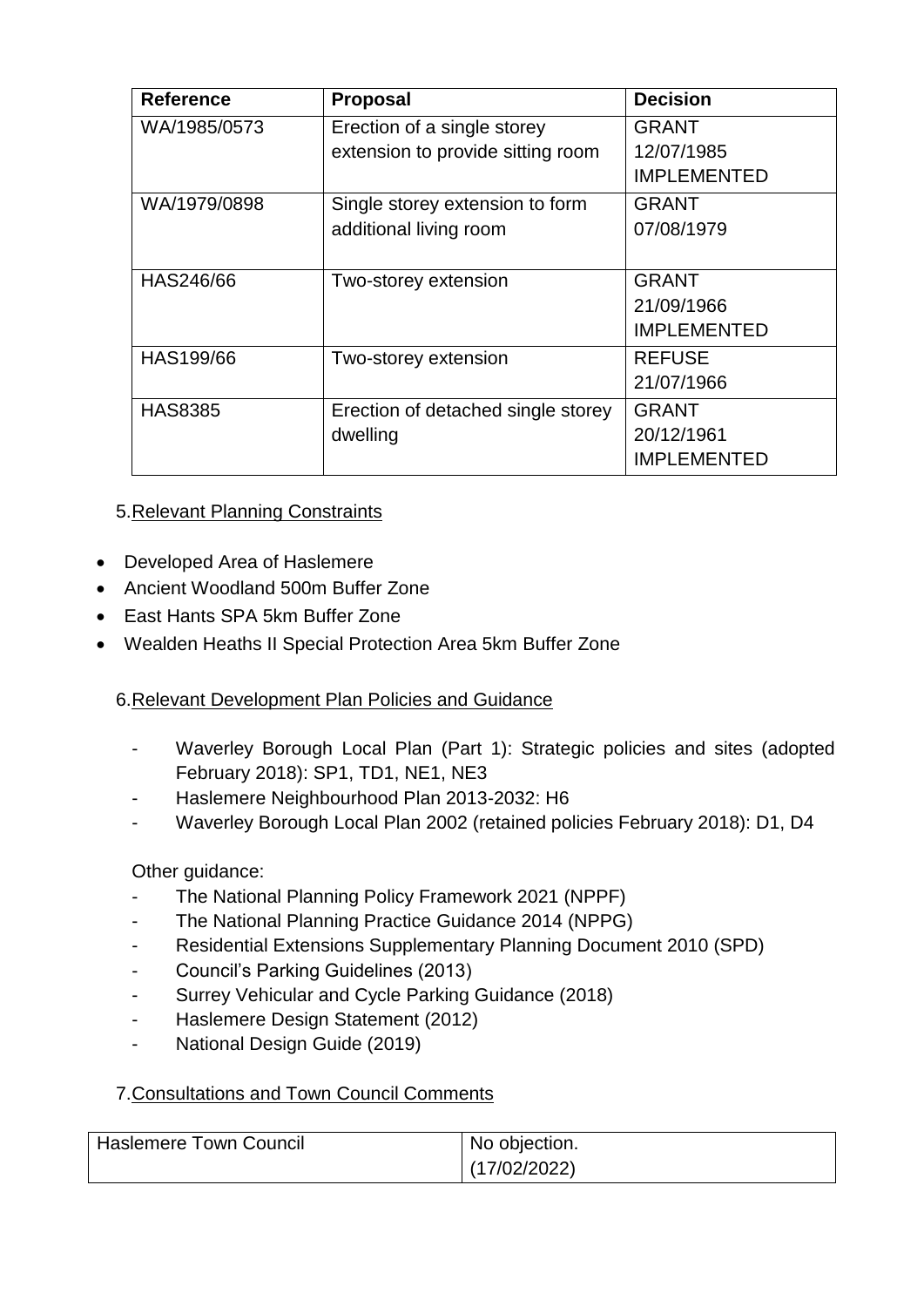| <b>Reference</b> | <b>Proposal</b>                    | <b>Decision</b>    |
|------------------|------------------------------------|--------------------|
| WA/1985/0573     | Erection of a single storey        | <b>GRANT</b>       |
|                  | extension to provide sitting room  | 12/07/1985         |
|                  |                                    | <b>IMPLEMENTED</b> |
| WA/1979/0898     | Single storey extension to form    | <b>GRANT</b>       |
|                  | additional living room             | 07/08/1979         |
|                  |                                    |                    |
| HAS246/66        | Two-storey extension               | <b>GRANT</b>       |
|                  |                                    | 21/09/1966         |
|                  |                                    | <b>IMPLEMENTED</b> |
| HAS199/66        | Two-storey extension               | <b>REFUSE</b>      |
|                  |                                    | 21/07/1966         |
| <b>HAS8385</b>   | Erection of detached single storey | <b>GRANT</b>       |
|                  | dwelling                           | 20/12/1961         |
|                  |                                    | <b>IMPLEMENTED</b> |

## 5.Relevant Planning Constraints

- Developed Area of Haslemere
- Ancient Woodland 500m Buffer Zone
- East Hants SPA 5km Buffer Zone
- Wealden Heaths II Special Protection Area 5km Buffer Zone

#### 6.Relevant Development Plan Policies and Guidance

- Waverley Borough Local Plan (Part 1): Strategic policies and sites (adopted February 2018): SP1, TD1, NE1, NE3
- Haslemere Neighbourhood Plan 2013-2032: H6
- Waverley Borough Local Plan 2002 (retained policies February 2018): D1, D4

#### Other guidance:

- The National Planning Policy Framework 2021 (NPPF)
- The National Planning Practice Guidance 2014 (NPPG)
- Residential Extensions Supplementary Planning Document 2010 (SPD)
- Council's Parking Guidelines (2013)
- Surrey Vehicular and Cycle Parking Guidance (2018)
- Haslemere Design Statement (2012)
- National Design Guide (2019)

#### 7.Consultations and Town Council Comments

| ' Haslemere Town Council | No objection. |
|--------------------------|---------------|
|                          | (17/02/2022)  |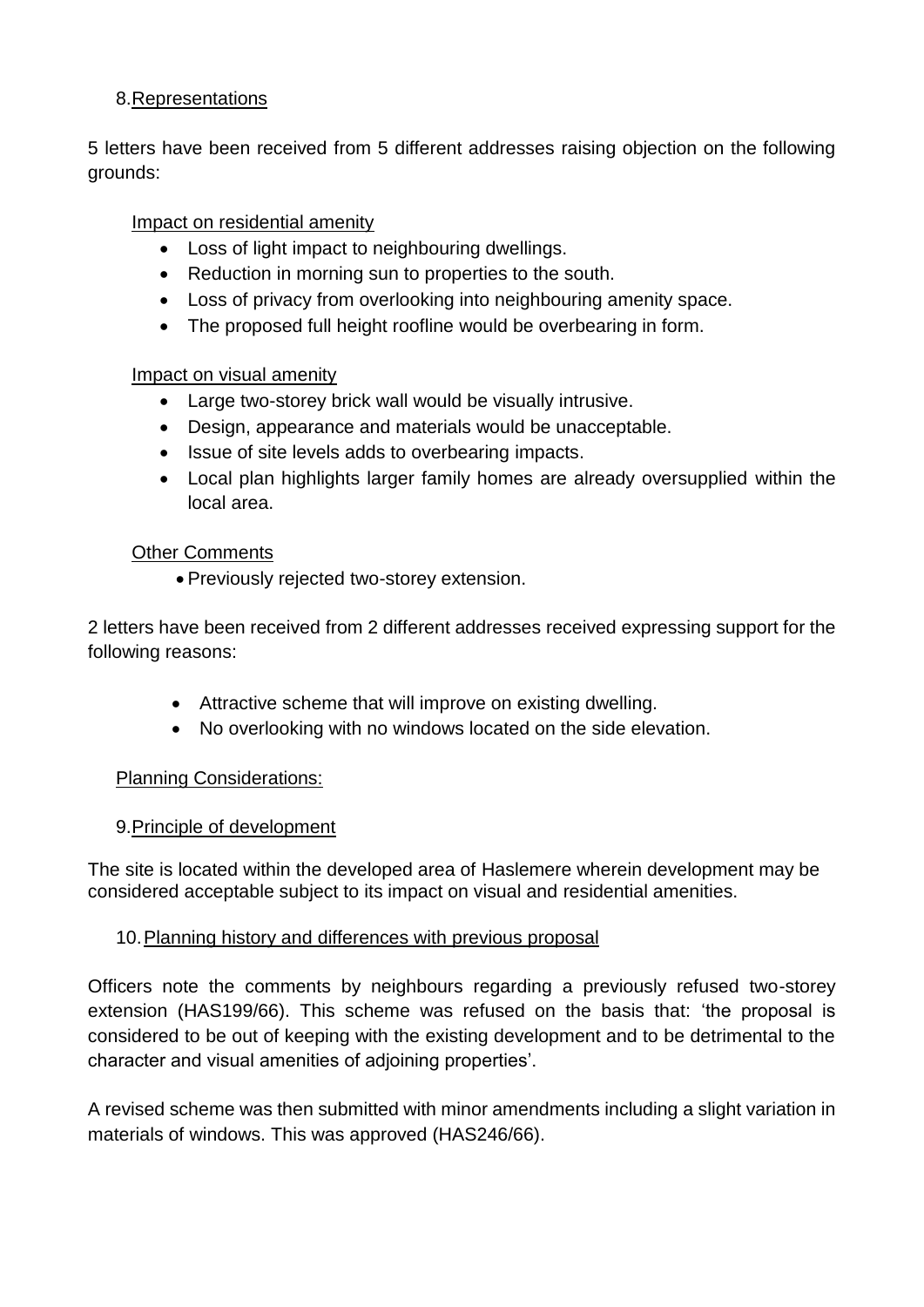### 8.Representations

5 letters have been received from 5 different addresses raising objection on the following grounds:

### Impact on residential amenity

- Loss of light impact to neighbouring dwellings.
- Reduction in morning sun to properties to the south.
- Loss of privacy from overlooking into neighbouring amenity space.
- The proposed full height roofline would be overbearing in form.

#### Impact on visual amenity

- Large two-storey brick wall would be visually intrusive.
- Design, appearance and materials would be unacceptable.
- Issue of site levels adds to overbearing impacts.
- Local plan highlights larger family homes are already oversupplied within the local area.

#### Other Comments

Previously rejected two-storey extension.

2 letters have been received from 2 different addresses received expressing support for the following reasons:

- Attractive scheme that will improve on existing dwelling.
- No overlooking with no windows located on the side elevation.

#### Planning Considerations:

#### 9.Principle of development

The site is located within the developed area of Haslemere wherein development may be considered acceptable subject to its impact on visual and residential amenities.

#### 10. Planning history and differences with previous proposal

Officers note the comments by neighbours regarding a previously refused two-storey extension (HAS199/66). This scheme was refused on the basis that: 'the proposal is considered to be out of keeping with the existing development and to be detrimental to the character and visual amenities of adjoining properties'.

A revised scheme was then submitted with minor amendments including a slight variation in materials of windows. This was approved (HAS246/66).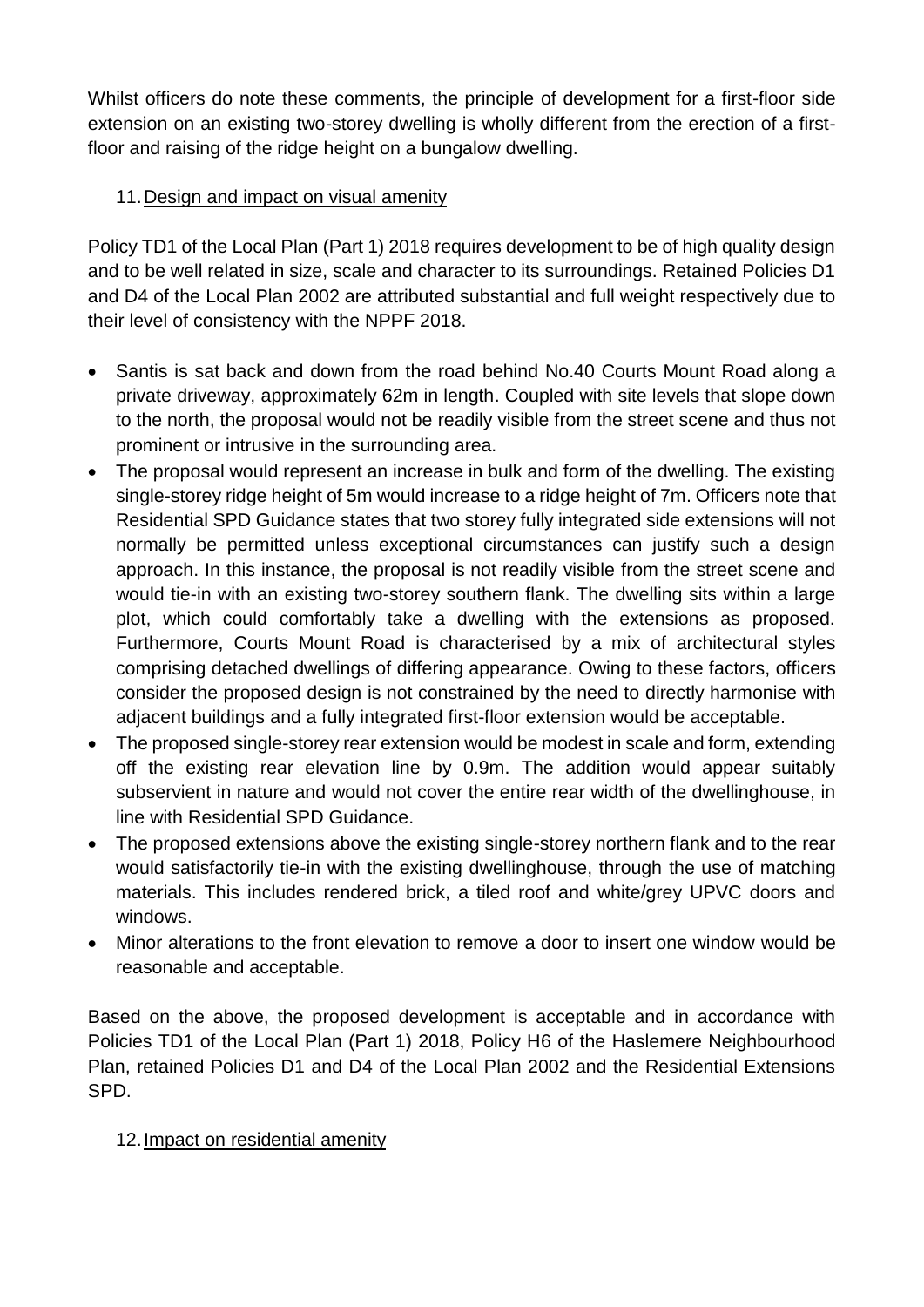Whilst officers do note these comments, the principle of development for a first-floor side extension on an existing two-storey dwelling is wholly different from the erection of a firstfloor and raising of the ridge height on a bungalow dwelling.

# 11.Design and impact on visual amenity

Policy TD1 of the Local Plan (Part 1) 2018 requires development to be of high quality design and to be well related in size, scale and character to its surroundings. Retained Policies D1 and D4 of the Local Plan 2002 are attributed substantial and full weight respectively due to their level of consistency with the NPPF 2018.

- Santis is sat back and down from the road behind No.40 Courts Mount Road along a private driveway, approximately 62m in length. Coupled with site levels that slope down to the north, the proposal would not be readily visible from the street scene and thus not prominent or intrusive in the surrounding area.
- The proposal would represent an increase in bulk and form of the dwelling. The existing single-storey ridge height of 5m would increase to a ridge height of 7m. Officers note that Residential SPD Guidance states that two storey fully integrated side extensions will not normally be permitted unless exceptional circumstances can justify such a design approach. In this instance, the proposal is not readily visible from the street scene and would tie-in with an existing two-storey southern flank. The dwelling sits within a large plot, which could comfortably take a dwelling with the extensions as proposed. Furthermore, Courts Mount Road is characterised by a mix of architectural styles comprising detached dwellings of differing appearance. Owing to these factors, officers consider the proposed design is not constrained by the need to directly harmonise with adjacent buildings and a fully integrated first-floor extension would be acceptable.
- The proposed single-storey rear extension would be modest in scale and form, extending off the existing rear elevation line by 0.9m. The addition would appear suitably subservient in nature and would not cover the entire rear width of the dwellinghouse, in line with Residential SPD Guidance.
- The proposed extensions above the existing single-storey northern flank and to the rear would satisfactorily tie-in with the existing dwellinghouse, through the use of matching materials. This includes rendered brick, a tiled roof and white/grey UPVC doors and windows.
- Minor alterations to the front elevation to remove a door to insert one window would be reasonable and acceptable.

Based on the above, the proposed development is acceptable and in accordance with Policies TD1 of the Local Plan (Part 1) 2018, Policy H6 of the Haslemere Neighbourhood Plan, retained Policies D1 and D4 of the Local Plan 2002 and the Residential Extensions SPD.

# 12.Impact on residential amenity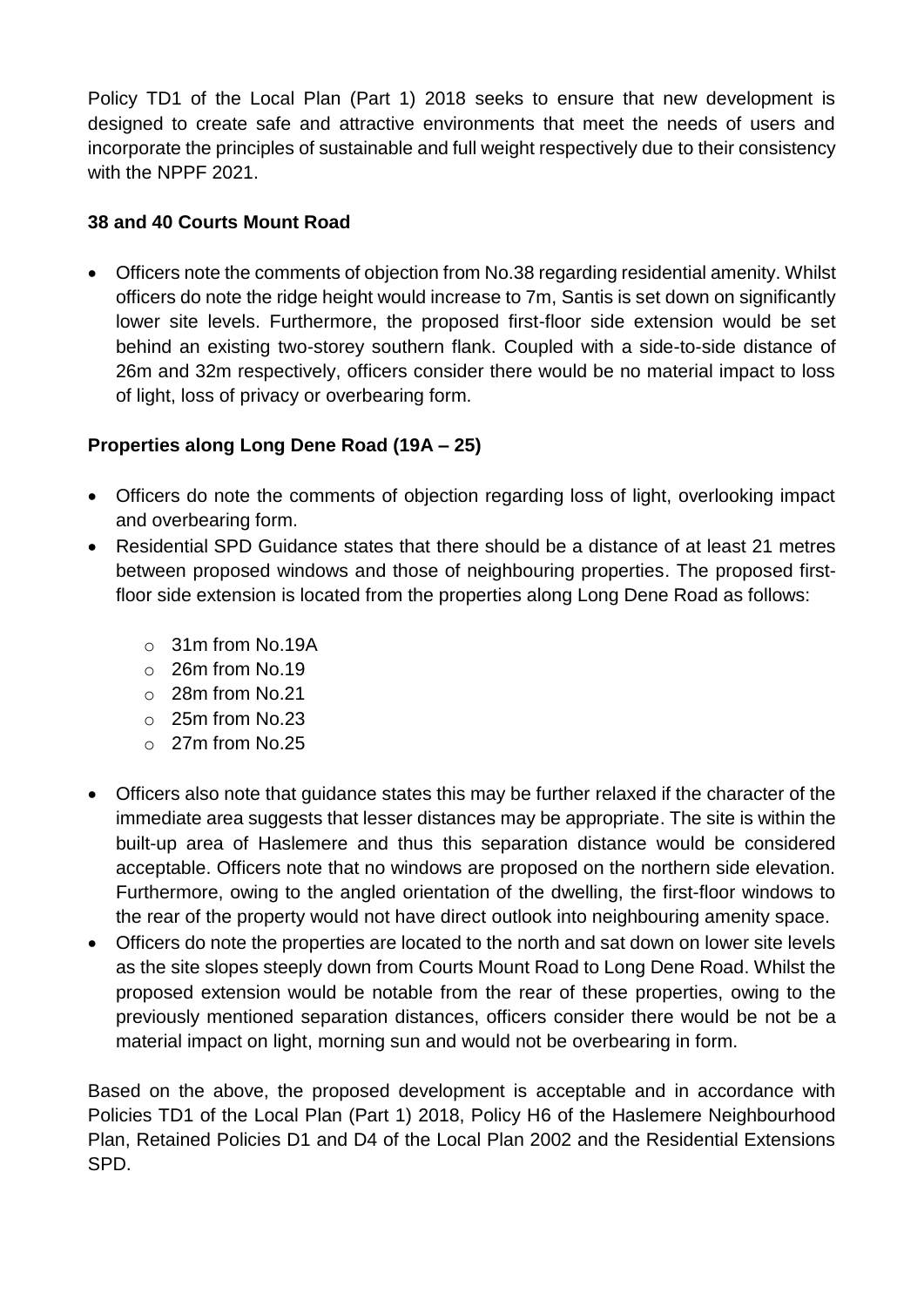Policy TD1 of the Local Plan (Part 1) 2018 seeks to ensure that new development is designed to create safe and attractive environments that meet the needs of users and incorporate the principles of sustainable and full weight respectively due to their consistency with the NPPF 2021.

### **38 and 40 Courts Mount Road**

 Officers note the comments of objection from No.38 regarding residential amenity. Whilst officers do note the ridge height would increase to 7m, Santis is set down on significantly lower site levels. Furthermore, the proposed first-floor side extension would be set behind an existing two-storey southern flank. Coupled with a side-to-side distance of 26m and 32m respectively, officers consider there would be no material impact to loss of light, loss of privacy or overbearing form.

# **Properties along Long Dene Road (19A – 25)**

- Officers do note the comments of objection regarding loss of light, overlooking impact and overbearing form.
- Residential SPD Guidance states that there should be a distance of at least 21 metres between proposed windows and those of neighbouring properties. The proposed firstfloor side extension is located from the properties along Long Dene Road as follows:
	- o 31m from No.19A
	- o 26m from No.19
	- o 28m from No.21
	- o 25m from No.23
	- o 27m from No.25
- Officers also note that guidance states this may be further relaxed if the character of the immediate area suggests that lesser distances may be appropriate. The site is within the built-up area of Haslemere and thus this separation distance would be considered acceptable. Officers note that no windows are proposed on the northern side elevation. Furthermore, owing to the angled orientation of the dwelling, the first-floor windows to the rear of the property would not have direct outlook into neighbouring amenity space.
- Officers do note the properties are located to the north and sat down on lower site levels as the site slopes steeply down from Courts Mount Road to Long Dene Road. Whilst the proposed extension would be notable from the rear of these properties, owing to the previously mentioned separation distances, officers consider there would be not be a material impact on light, morning sun and would not be overbearing in form.

Based on the above, the proposed development is acceptable and in accordance with Policies TD1 of the Local Plan (Part 1) 2018, Policy H6 of the Haslemere Neighbourhood Plan, Retained Policies D1 and D4 of the Local Plan 2002 and the Residential Extensions SPD.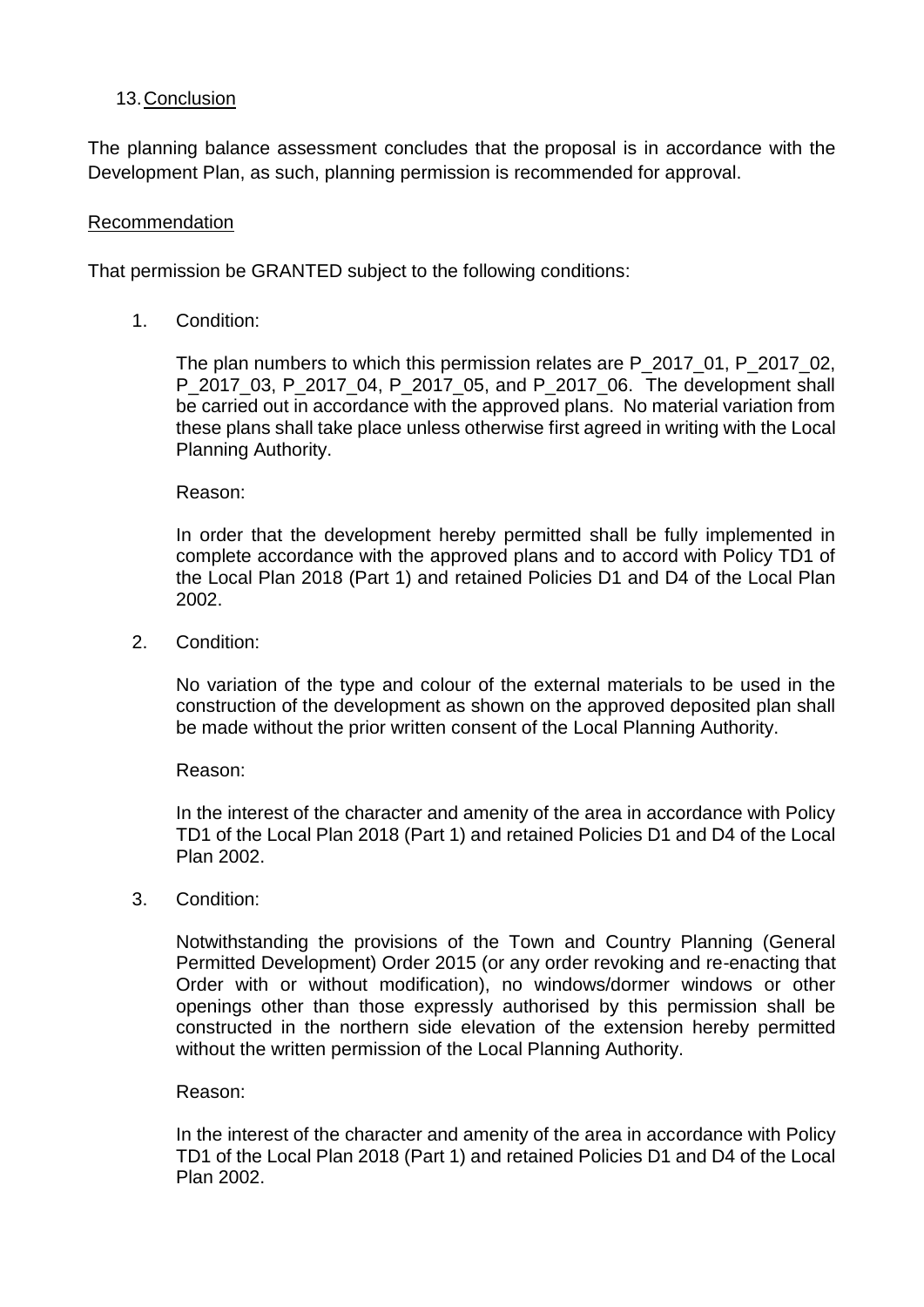#### 13.Conclusion

The planning balance assessment concludes that the proposal is in accordance with the Development Plan, as such, planning permission is recommended for approval.

#### Recommendation

That permission be GRANTED subject to the following conditions:

1. Condition:

The plan numbers to which this permission relates are P\_2017\_01, P\_2017\_02, P 2017 03, P 2017 04, P 2017 05, and P 2017 06. The development shall be carried out in accordance with the approved plans. No material variation from these plans shall take place unless otherwise first agreed in writing with the Local Planning Authority.

Reason:

In order that the development hereby permitted shall be fully implemented in complete accordance with the approved plans and to accord with Policy TD1 of the Local Plan 2018 (Part 1) and retained Policies D1 and D4 of the Local Plan 2002.

2. Condition:

No variation of the type and colour of the external materials to be used in the construction of the development as shown on the approved deposited plan shall be made without the prior written consent of the Local Planning Authority.

Reason:

In the interest of the character and amenity of the area in accordance with Policy TD1 of the Local Plan 2018 (Part 1) and retained Policies D1 and D4 of the Local Plan 2002.

3. Condition:

Notwithstanding the provisions of the Town and Country Planning (General Permitted Development) Order 2015 (or any order revoking and re-enacting that Order with or without modification), no windows/dormer windows or other openings other than those expressly authorised by this permission shall be constructed in the northern side elevation of the extension hereby permitted without the written permission of the Local Planning Authority.

#### Reason:

In the interest of the character and amenity of the area in accordance with Policy TD1 of the Local Plan 2018 (Part 1) and retained Policies D1 and D4 of the Local Plan 2002.